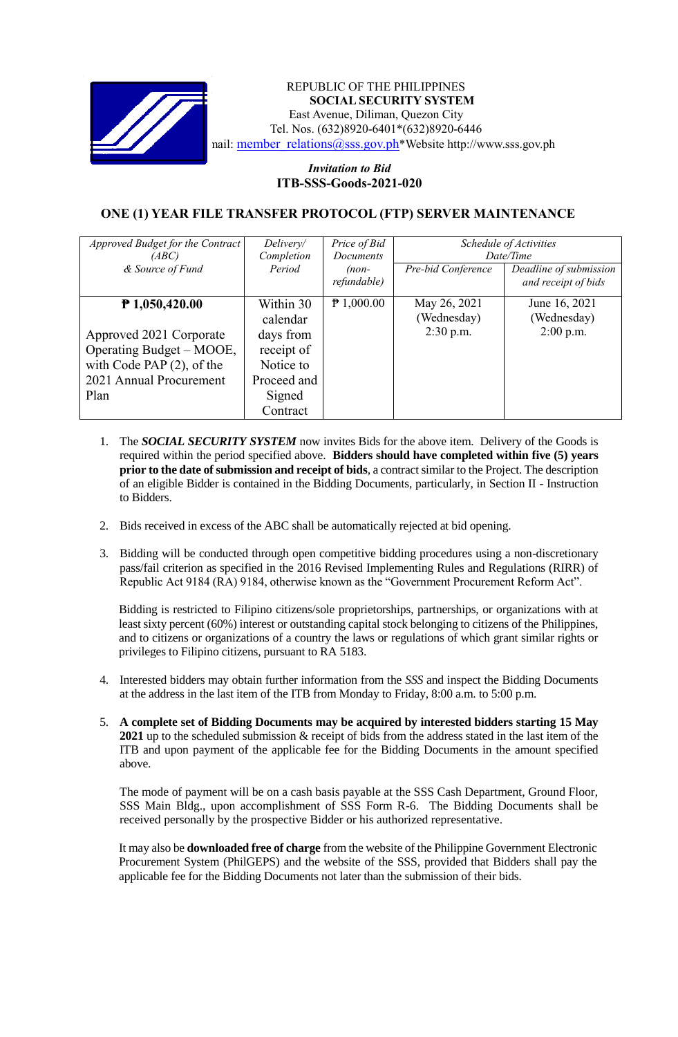

## REPUBLIC OF THE PHILIPPINES **SOCIAL SECURITY SYSTEM** East Avenue, Diliman, Quezon City Tel. Nos. (632)8920-6401\*(632)8920-6446 nail: member\_relations@sss.gov.ph\*Website http://www.sss.gov.ph

## *Invitation to Bid*  **ITB-SSS-Goods-2021-020**

## **ONE (1) YEAR FILE TRANSFER PROTOCOL (FTP) SERVER MAINTENANCE**

| Approved Budget for the Contract<br>(ABC)<br>& Source of Fund                                                                              | Delivery/<br>Completion<br>Period                                                                  | Price of Bid<br>Documents<br>$(non-$<br>refundable) | Pre-bid Conference                         | Schedule of Activities<br>Date/Time<br>Deadline of submission<br>and receipt of bids |
|--------------------------------------------------------------------------------------------------------------------------------------------|----------------------------------------------------------------------------------------------------|-----------------------------------------------------|--------------------------------------------|--------------------------------------------------------------------------------------|
| $P$ 1,050,420.00<br>Approved 2021 Corporate<br>Operating Budget – MOOE,<br>with Code PAP $(2)$ , of the<br>2021 Annual Procurement<br>Plan | Within 30<br>calendar<br>days from<br>receipt of<br>Notice to<br>Proceed and<br>Signed<br>Contract | $P$ 1,000.00                                        | May 26, 2021<br>(Wednesday)<br>$2:30$ p.m. | June 16, 2021<br>(Wednesday)<br>$2:00$ p.m.                                          |

- 1. The *SOCIAL SECURITY SYSTEM* now invites Bids for the above item. Delivery of the Goods is required within the period specified above. **Bidders should have completed within five (5) years prior to the date of submission and receipt of bids**, a contract similar to the Project. The description of an eligible Bidder is contained in the Bidding Documents, particularly, in Section II - Instruction to Bidders.
- 2. Bids received in excess of the ABC shall be automatically rejected at bid opening.
- 3. Bidding will be conducted through open competitive bidding procedures using a non-discretionary pass/fail criterion as specified in the 2016 Revised Implementing Rules and Regulations (RIRR) of Republic Act 9184 (RA) 9184, otherwise known as the "Government Procurement Reform Act".

Bidding is restricted to Filipino citizens/sole proprietorships, partnerships, or organizations with at least sixty percent (60%) interest or outstanding capital stock belonging to citizens of the Philippines, and to citizens or organizations of a country the laws or regulations of which grant similar rights or privileges to Filipino citizens, pursuant to RA 5183.

- 4. Interested bidders may obtain further information from the *SSS* and inspect the Bidding Documents at the address in the last item of the ITB from Monday to Friday, 8:00 a.m. to 5:00 p.m.
- 5. **A complete set of Bidding Documents may be acquired by interested bidders starting 15 May 2021** up to the scheduled submission & receipt of bids from the address stated in the last item of the ITB and upon payment of the applicable fee for the Bidding Documents in the amount specified above.

The mode of payment will be on a cash basis payable at the SSS Cash Department, Ground Floor, SSS Main Bldg., upon accomplishment of SSS Form R-6. The Bidding Documents shall be received personally by the prospective Bidder or his authorized representative.

It may also be **downloaded free of charge** from the website of the Philippine Government Electronic Procurement System (PhilGEPS) and the website of the SSS*,* provided that Bidders shall pay the applicable fee for the Bidding Documents not later than the submission of their bids.